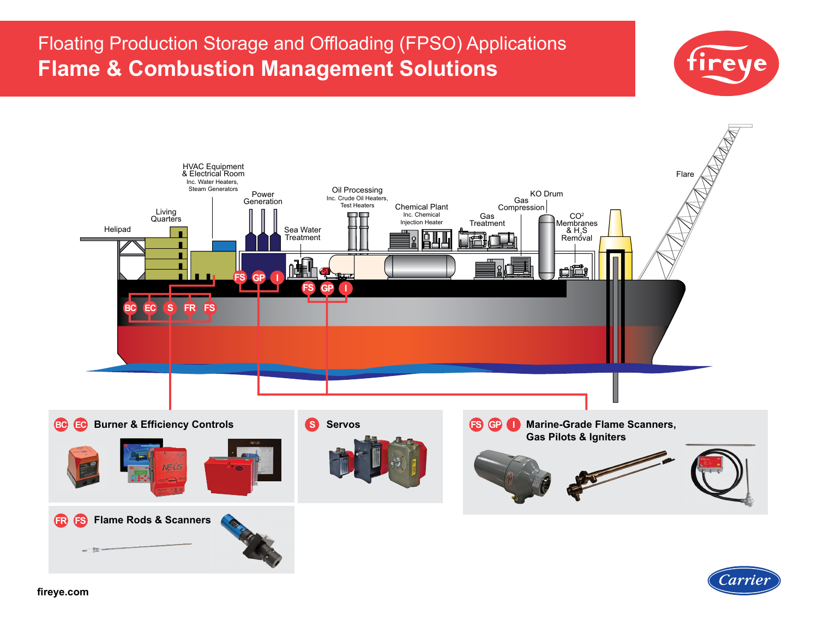# Floating Production Storage and Offloading (FPSO) Applications **Flame & Combustion Management Solutions**





**[fireye.com](http://www.fireye.design/secureLink.php?&L=https://www.fireye.com/Home/Index&S=MF-00-2-000F-0-030-A&U=MH20211109)**